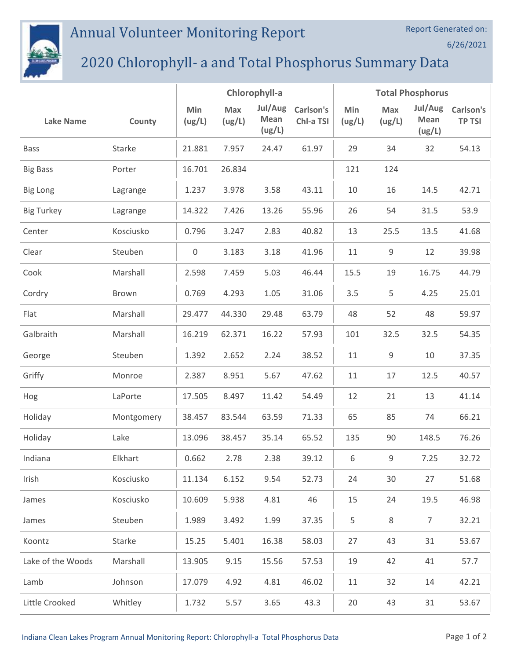## Annual Volunteer Monitoring Report



## 2020 Chlorophyll- a and Total Phosphorus Summary Data

|                   |            | Chlorophyll-a       |               |                           | <b>Total Phosphorus</b> |               |               |                           |                            |
|-------------------|------------|---------------------|---------------|---------------------------|-------------------------|---------------|---------------|---------------------------|----------------------------|
| <b>Lake Name</b>  | County     | Min<br>(ug/L)       | Max<br>(ug/L) | Jul/Aug<br>Mean<br>(ug/L) | Carlson's<br>Chl-a TSI  | Min<br>(ug/L) | Max<br>(ug/L) | Jul/Aug<br>Mean<br>(ug/L) | Carlson's<br><b>TP TSI</b> |
| <b>Bass</b>       | Starke     | 21.881              | 7.957         | 24.47                     | 61.97                   | 29            | 34            | 32                        | 54.13                      |
| <b>Big Bass</b>   | Porter     | 16.701              | 26.834        |                           |                         | 121           | 124           |                           |                            |
| <b>Big Long</b>   | Lagrange   | 1.237               | 3.978         | 3.58                      | 43.11                   | 10            | 16            | 14.5                      | 42.71                      |
| <b>Big Turkey</b> | Lagrange   | 14.322              | 7.426         | 13.26                     | 55.96                   | 26            | 54            | 31.5                      | 53.9                       |
| Center            | Kosciusko  | 0.796               | 3.247         | 2.83                      | 40.82                   | 13            | 25.5          | 13.5                      | 41.68                      |
| Clear             | Steuben    | $\mathsf{O}\xspace$ | 3.183         | 3.18                      | 41.96                   | 11            | 9             | 12                        | 39.98                      |
| Cook              | Marshall   | 2.598               | 7.459         | 5.03                      | 46.44                   | 15.5          | 19            | 16.75                     | 44.79                      |
| Cordry            | Brown      | 0.769               | 4.293         | 1.05                      | 31.06                   | 3.5           | 5             | 4.25                      | 25.01                      |
| Flat              | Marshall   | 29.477              | 44.330        | 29.48                     | 63.79                   | 48            | 52            | 48                        | 59.97                      |
| Galbraith         | Marshall   | 16.219              | 62.371        | 16.22                     | 57.93                   | 101           | 32.5          | 32.5                      | 54.35                      |
| George            | Steuben    | 1.392               | 2.652         | 2.24                      | 38.52                   | 11            | 9             | 10                        | 37.35                      |
| Griffy            | Monroe     | 2.387               | 8.951         | 5.67                      | 47.62                   | 11            | 17            | 12.5                      | 40.57                      |
| Hog               | LaPorte    | 17.505              | 8.497         | 11.42                     | 54.49                   | 12            | 21            | 13                        | 41.14                      |
| Holiday           | Montgomery | 38.457              | 83.544        | 63.59                     | 71.33                   | 65            | 85            | 74                        | 66.21                      |
| Holiday           | Lake       | 13.096              | 38.457        | 35.14                     | 65.52                   | 135           | 90            | 148.5                     | 76.26                      |
| Indiana           | Elkhart    | 0.662               | 2.78          | 2.38                      | 39.12                   | 6             | 9             | 7.25                      | 32.72                      |
| Irish             | Kosciusko  | 11.134              | 6.152         | 9.54                      | 52.73                   | 24            | 30            | 27                        | 51.68                      |
| James             | Kosciusko  | 10.609              | 5.938         | 4.81                      | 46                      | 15            | 24            | 19.5                      | 46.98                      |
| James             | Steuben    | 1.989               | 3.492         | 1.99                      | 37.35                   | 5             | 8             | $\overline{7}$            | 32.21                      |
| Koontz            | Starke     | 15.25               | 5.401         | 16.38                     | 58.03                   | 27            | 43            | 31                        | 53.67                      |
| Lake of the Woods | Marshall   | 13.905              | 9.15          | 15.56                     | 57.53                   | 19            | 42            | 41                        | 57.7                       |
| Lamb              | Johnson    | 17.079              | 4.92          | 4.81                      | 46.02                   | 11            | 32            | 14                        | 42.21                      |
| Little Crooked    | Whitley    | 1.732               | 5.57          | 3.65                      | 43.3                    | 20            | 43            | 31                        | 53.67                      |

Report Generated on:

6/26/2021